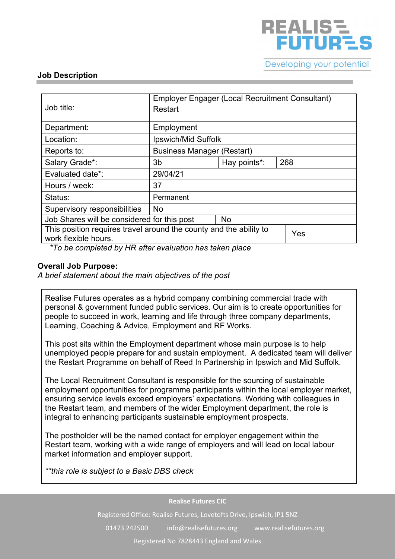

### **Job Description**

| Job title:                                                                                        | Employer Engager (Local Recruitment Consultant)<br>Restart |              |     |
|---------------------------------------------------------------------------------------------------|------------------------------------------------------------|--------------|-----|
| Department:                                                                                       | Employment                                                 |              |     |
| Location:                                                                                         | Ipswich/Mid Suffolk                                        |              |     |
| Reports to:                                                                                       | <b>Business Manager (Restart)</b>                          |              |     |
| Salary Grade*:                                                                                    | 3b                                                         | Hay points*: | 268 |
| Evaluated date*:                                                                                  | 29/04/21                                                   |              |     |
| Hours / week:                                                                                     | 37                                                         |              |     |
| Status:                                                                                           | Permanent                                                  |              |     |
| Supervisory responsibilities                                                                      | <b>No</b>                                                  |              |     |
| Job Shares will be considered for this post                                                       | No                                                         |              |     |
| This position requires travel around the county and the ability to<br>Yes<br>work flexible hours. |                                                            |              |     |

*\*To be completed by HR after evaluation has taken place*

## **Overall Job Purpose:**

*A brief statement about the main objectives of the post*

Realise Futures operates as a hybrid company combining commercial trade with personal & government funded public services. Our aim is to create opportunities for people to succeed in work, learning and life through three company departments, Learning, Coaching & Advice, Employment and RF Works.

This post sits within the Employment department whose main purpose is to help unemployed people prepare for and sustain employment. A dedicated team will deliver the Restart Programme on behalf of Reed In Partnership in Ipswich and Mid Suffolk.

The Local Recruitment Consultant is responsible for the sourcing of sustainable employment opportunities for programme participants within the local employer market, ensuring service levels exceed employers' expectations. Working with colleagues in the Restart team, and members of the wider Employment department, the role is integral to enhancing participants sustainable employment prospects.

The postholder will be the named contact for employer engagement within the Restart team, working with a wide range of employers and will lead on local labour market information and employer support.

*\*\*this role is subject to a Basic DBS check*

#### **Realise Futures CIC**

Registered Office: Realise Futures, Lovetofts Drive, Ipswich, IP1 5NZ

01473 242500 info@realisefutures.org www.realisefutures.org

Registered No 7828443 England and Wales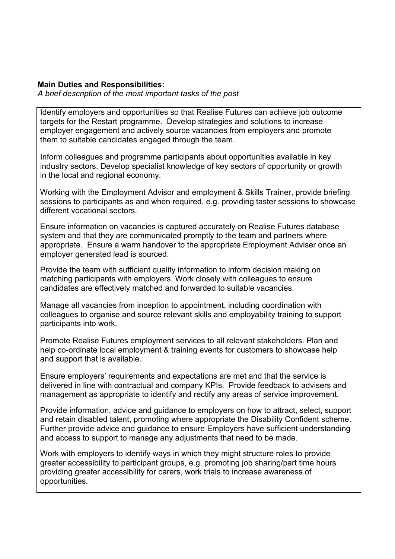## **Main Duties and Responsibilities:**

*A brief description of the most important tasks of the post*

Identify employers and opportunities so that Realise Futures can achieve job outcome targets for the Restart programme. Develop strategies and solutions to increase employer engagement and actively source vacancies from employers and promote them to suitable candidates engaged through the team.

Inform colleagues and programme participants about opportunities available in key industry sectors. Develop specialist knowledge of key sectors of opportunity or growth in the local and regional economy.

Working with the Employment Advisor and employment & Skills Trainer, provide briefing sessions to participants as and when required, e.g. providing taster sessions to showcase different vocational sectors.

Ensure information on vacancies is captured accurately on Realise Futures database system and that they are communicated promptly to the team and partners where appropriate. Ensure a warm handover to the appropriate Employment Adviser once an employer generated lead is sourced.

Provide the team with sufficient quality information to inform decision making on matching participants with employers. Work closely with colleagues to ensure candidates are effectively matched and forwarded to suitable vacancies.

Manage all vacancies from inception to appointment, including coordination with colleagues to organise and source relevant skills and employability training to support participants into work.

Promote Realise Futures employment services to all relevant stakeholders. Plan and help co-ordinate local employment & training events for customers to showcase help and support that is available.

Ensure employers' requirements and expectations are met and that the service is delivered in line with contractual and company KPIs. Provide feedback to advisers and management as appropriate to identify and rectify any areas of service improvement.

Provide information, advice and guidance to employers on how to attract, select, support and retain disabled talent, promoting where appropriate the Disability Confident scheme. Further provide advice and guidance to ensure Employers have sufficient understanding and access to support to manage any adjustments that need to be made.

Work with employers to identify ways in which they might structure roles to provide greater accessibility to participant groups, e.g. promoting job sharing/part time hours providing greater accessibility for carers, work trials to increase awareness of opportunities.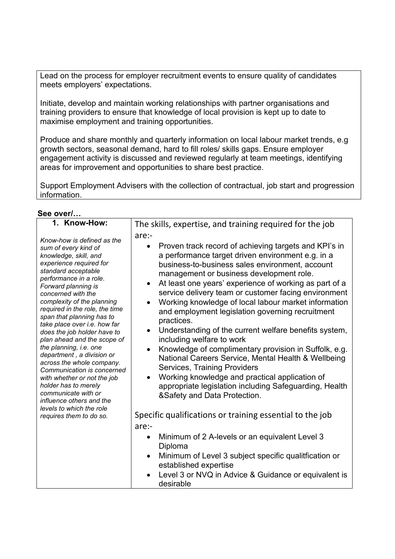Lead on the process for employer recruitment events to ensure quality of candidates meets employers' expectations.

Initiate, develop and maintain working relationships with partner organisations and training providers to ensure that knowledge of local provision is kept up to date to maximise employment and training opportunities.

Produce and share monthly and quarterly information on local labour market trends, e.g growth sectors, seasonal demand, hard to fill roles/ skills gaps. Ensure employer engagement activity is discussed and reviewed regularly at team meetings, identifying areas for improvement and opportunities to share best practice.

Support Employment Advisers with the collection of contractual, job start and progression information.

|  | See over/ |
|--|-----------|
|  |           |

| 1. Know-How:                                                                                                                                                                                                                                                                                                                                                                                                                                                                                                                                                                                                                                                                       | The skills, expertise, and training required for the job                                                                                                                                                                                                                                                                                                                                                                                                                                                                                                                                                                                                                                                                                                                                                                                                                                                                                                                             |  |  |
|------------------------------------------------------------------------------------------------------------------------------------------------------------------------------------------------------------------------------------------------------------------------------------------------------------------------------------------------------------------------------------------------------------------------------------------------------------------------------------------------------------------------------------------------------------------------------------------------------------------------------------------------------------------------------------|--------------------------------------------------------------------------------------------------------------------------------------------------------------------------------------------------------------------------------------------------------------------------------------------------------------------------------------------------------------------------------------------------------------------------------------------------------------------------------------------------------------------------------------------------------------------------------------------------------------------------------------------------------------------------------------------------------------------------------------------------------------------------------------------------------------------------------------------------------------------------------------------------------------------------------------------------------------------------------------|--|--|
| Know-how is defined as the<br>sum of every kind of<br>knowledge, skill, and<br>experience required for<br>standard acceptable<br>performance in a role.<br>Forward planning is<br>concerned with the<br>complexity of the planning<br>required in the role, the time<br>span that planning has to<br>take place over i.e. how far<br>does the job holder have to<br>plan ahead and the scope of<br>the planning, i.e. one<br>department, a division or<br>across the whole company.<br>Communication is concerned<br>with whether or not the job<br>holder has to merely<br>communicate with or<br>influence others and the<br>levels to which the role<br>requires them to do so. | are:-<br>Proven track record of achieving targets and KPI's in<br>$\bullet$<br>a performance target driven environment e.g. in a<br>business-to-business sales environment, account<br>management or business development role.<br>At least one years' experience of working as part of a<br>$\bullet$<br>service delivery team or customer facing environment<br>Working knowledge of local labour market information<br>$\bullet$<br>and employment legislation governing recruitment<br>practices.<br>Understanding of the current welfare benefits system,<br>$\bullet$<br>including welfare to work<br>Knowledge of complimentary provision in Suffolk, e.g.<br>$\bullet$<br>National Careers Service, Mental Health & Wellbeing<br><b>Services, Training Providers</b><br>Working knowledge and practical application of<br>appropriate legislation including Safeguarding, Health<br>&Safety and Data Protection.<br>Specific qualifications or training essential to the job |  |  |
|                                                                                                                                                                                                                                                                                                                                                                                                                                                                                                                                                                                                                                                                                    | are:-<br>Minimum of 2 A-levels or an equivalent Level 3<br>$\bullet$                                                                                                                                                                                                                                                                                                                                                                                                                                                                                                                                                                                                                                                                                                                                                                                                                                                                                                                 |  |  |
|                                                                                                                                                                                                                                                                                                                                                                                                                                                                                                                                                                                                                                                                                    | Diploma<br>Minimum of Level 3 subject specific qualitfication or<br>$\bullet$<br>established expertise                                                                                                                                                                                                                                                                                                                                                                                                                                                                                                                                                                                                                                                                                                                                                                                                                                                                               |  |  |
|                                                                                                                                                                                                                                                                                                                                                                                                                                                                                                                                                                                                                                                                                    | Level 3 or NVQ in Advice & Guidance or equivalent is<br>desirable                                                                                                                                                                                                                                                                                                                                                                                                                                                                                                                                                                                                                                                                                                                                                                                                                                                                                                                    |  |  |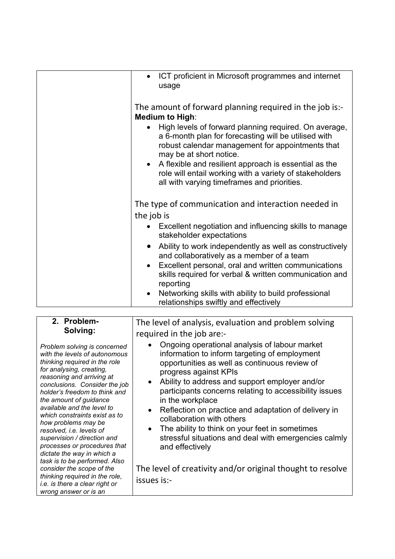| ICT proficient in Microsoft programmes and internet<br>$\bullet$<br>usage                                                                                                                                                                                                                                                                                                                                                                                         |
|-------------------------------------------------------------------------------------------------------------------------------------------------------------------------------------------------------------------------------------------------------------------------------------------------------------------------------------------------------------------------------------------------------------------------------------------------------------------|
| The amount of forward planning required in the job is:-<br><b>Medium to High:</b><br>High levels of forward planning required. On average,<br>a 6-month plan for forecasting will be utilised with<br>robust calendar management for appointments that<br>may be at short notice.<br>A flexible and resilient approach is essential as the<br>$\bullet$<br>role will entail working with a variety of stakeholders<br>all with varying timeframes and priorities. |
| The type of communication and interaction needed in<br>the job is<br>Excellent negotiation and influencing skills to manage<br>$\bullet$                                                                                                                                                                                                                                                                                                                          |
| stakeholder expectations                                                                                                                                                                                                                                                                                                                                                                                                                                          |
| Ability to work independently as well as constructively<br>$\bullet$<br>and collaboratively as a member of a team<br>Excellent personal, oral and written communications<br>$\bullet$<br>skills required for verbal & written communication and<br>reporting                                                                                                                                                                                                      |
| Networking skills with ability to build professional<br>$\bullet$<br>relationships swiftly and effectively                                                                                                                                                                                                                                                                                                                                                        |

| 2. Problem-                                                                                                                                                                                                                                                                                                                                                                                                                                                                                                                                                                                                                   | The level of analysis, evaluation and problem solving                                                                                                                                                                                                                                                                                                                                                                                                                                                                                                                                                                              |
|-------------------------------------------------------------------------------------------------------------------------------------------------------------------------------------------------------------------------------------------------------------------------------------------------------------------------------------------------------------------------------------------------------------------------------------------------------------------------------------------------------------------------------------------------------------------------------------------------------------------------------|------------------------------------------------------------------------------------------------------------------------------------------------------------------------------------------------------------------------------------------------------------------------------------------------------------------------------------------------------------------------------------------------------------------------------------------------------------------------------------------------------------------------------------------------------------------------------------------------------------------------------------|
| Solving:                                                                                                                                                                                                                                                                                                                                                                                                                                                                                                                                                                                                                      | required in the job are:-                                                                                                                                                                                                                                                                                                                                                                                                                                                                                                                                                                                                          |
| Problem solving is concerned<br>with the levels of autonomous<br>thinking required in the role<br>for analysing, creating,<br>reasoning and arriving at<br>conclusions. Consider the job<br>holder's freedom to think and<br>the amount of guidance<br>available and the level to<br>which constraints exist as to<br>how problems may be<br>resolved, i.e. levels of<br>supervision / direction and<br>processes or procedures that<br>dictate the way in which a<br>task is to be performed. Also<br>consider the scope of the<br>thinking required in the role,<br>i.e. is there a clear right or<br>wrong answer or is an | Ongoing operational analysis of labour market<br>information to inform targeting of employment<br>opportunities as well as continuous review of<br>progress against KPIs<br>Ability to address and support employer and/or<br>$\bullet$<br>participants concerns relating to accessibility issues<br>in the workplace<br>Reflection on practice and adaptation of delivery in<br>collaboration with others<br>The ability to think on your feet in sometimes<br>$\bullet$<br>stressful situations and deal with emergencies calmly<br>and effectively<br>The level of creativity and/or original thought to resolve<br>issues is:- |